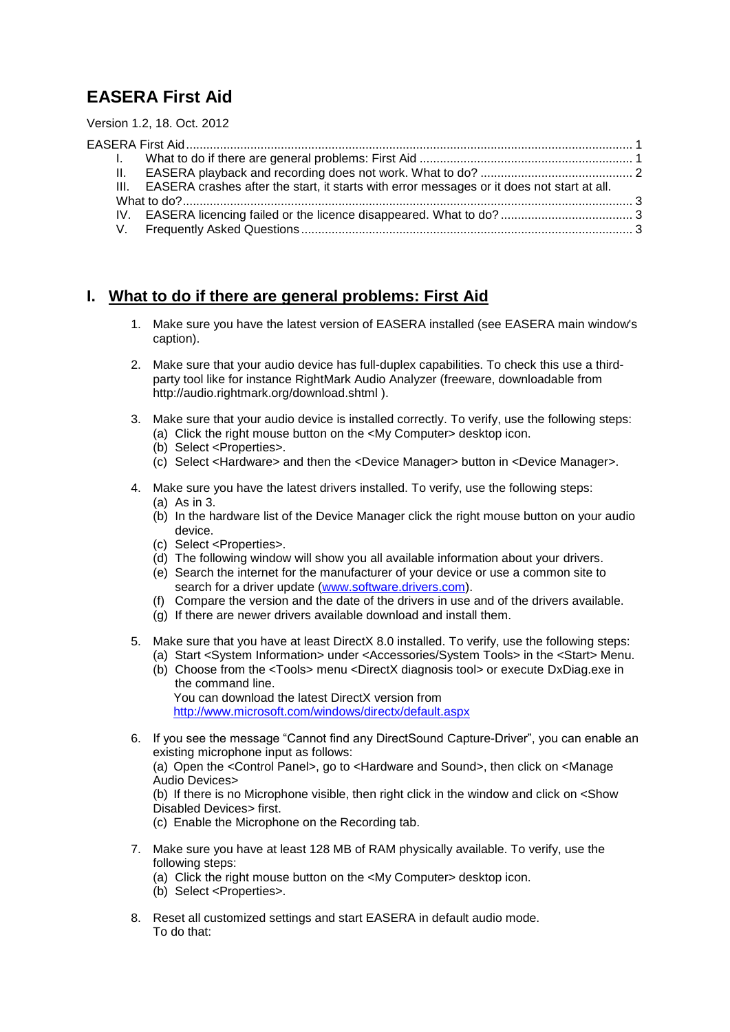# <span id="page-0-0"></span>**EASERA First Aid**

Version 1.2, 18. Oct. 2012

| II. |                                                                                                 |  |
|-----|-------------------------------------------------------------------------------------------------|--|
|     | III. EASERA crashes after the start, it starts with error messages or it does not start at all. |  |
|     |                                                                                                 |  |
|     |                                                                                                 |  |
|     |                                                                                                 |  |
|     |                                                                                                 |  |

# <span id="page-0-1"></span>**I. What to do if there are general problems: First Aid**

- 1. Make sure you have the latest version of EASERA installed (see EASERA main window's caption).
- 2. Make sure that your audio device has full-duplex capabilities. To check this use a thirdparty tool like for instance RightMark Audio Analyzer (freeware, downloadable from <http://audio.rightmark.org/download.shtml> ).
- <span id="page-0-2"></span>3. Make sure that your audio device is installed correctly. To verify, use the following steps:
	- (a) Click the right mouse button on the <My Computer> desktop icon.
	- (b) Select <Properties>.
	- (c) Select <Hardware> and then the <Device Manager> button in <Device Manager>.
- <span id="page-0-3"></span>4. Make sure you have the latest drivers installed. To verify, use the following steps:
	- (a) As in [3.](#page-0-2)
	- (b) In the hardware list of the Device Manager click the right mouse button on your audio device.
	- (c) Select <Properties>.
	- (d) The following window will show you all available information about your drivers.
	- (e) Search the internet for the manufacturer of your device or use a common site to search for a driver update [\(www.software.drivers.com\)](http://www.software.drivers.com/).
	- (f) Compare the version and the date of the drivers in use and of the drivers available.
	- (g) If there are newer drivers available download and install them.
- 5. Make sure that you have at least DirectX 8.0 installed. To verify, use the following steps: (a) Start <System Information> under <Accessories/System Tools> in the <Start> Menu.
	- (b) Choose from the <Tools> menu <DirectX diagnosis tool> or execute DxDiag.exe in the command line. You can download the latest DirectX version from

<http://www.microsoft.com/windows/directx/default.aspx>

6. If you see the message "Cannot find any DirectSound Capture-Driver", you can enable an existing microphone input as follows:

(a) Open the <Control Panel>, go to <Hardware and Sound>, then click on <Manage Audio Devices>

(b) If there is no Microphone visible, then right click in the window and click on <Show Disabled Devices> first.

- (c) Enable the Microphone on the Recording tab.
- 7. Make sure you have at least 128 MB of RAM physically available. To verify, use the following steps:
	- (a) Click the right mouse button on the <My Computer> desktop icon.
	- (b) Select <Properties>.
- 8. Reset all customized settings and start EASERA in default audio mode. To do that: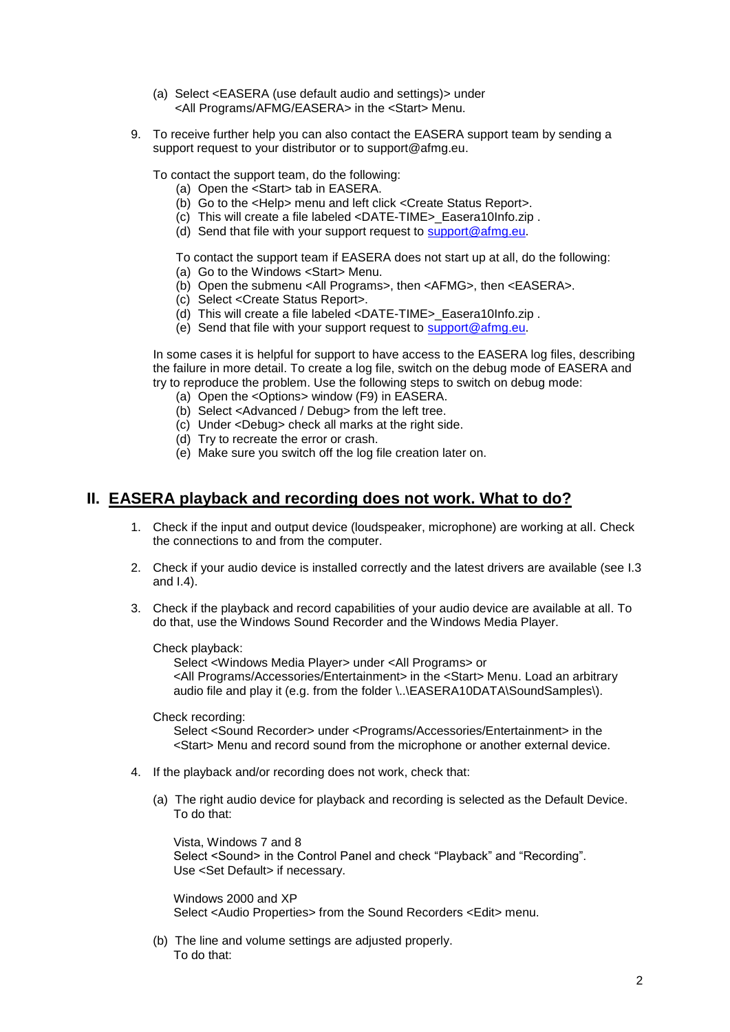- (a) Select <EASERA (use default audio and settings)> under <All Programs/AFMG/EASERA> in the <Start> Menu.
- <span id="page-1-1"></span>9. To receive further help you can also contact the EASERA support team by sending a support request to your distributor or to support@afmg.eu.

To contact the support team, do the following:

- (a) Open the <Start> tab in EASERA.
- (b) Go to the <Help> menu and left click <Create Status Report>.
- (c) This will create a file labeled <DATE-TIME>\_Easera10Info.zip .
- (d) Send that file with your support request to [support@afmg.eu.](mailto:support@afmg.eu)

To contact the support team if EASERA does not start up at all, do the following:

- (a) Go to the Windows <Start> Menu.
- (b) Open the submenu <All Programs>, then <AFMG>, then <EASERA>.
- (c) Select <Create Status Report>.
- (d) This will create a file labeled <DATE-TIME>\_Easera10Info.zip .
- (e) Send that file with your support request to [support@afmg.eu.](mailto:support@afmg.eu)

In some cases it is helpful for support to have access to the EASERA log files, describing the failure in more detail. To create a log file, switch on the debug mode of EASERA and try to reproduce the problem. Use the following steps to switch on debug mode:

- (a) Open the <Options> window (F9) in EASERA.
- (b) Select <Advanced / Debug> from the left tree.
- (c) Under <Debug> check all marks at the right side.
- (d) Try to recreate the error or crash.
- (e) Make sure you switch off the log file creation later on.

### <span id="page-1-0"></span>**II. EASERA playback and recording does not work. What to do?**

- 1. Check if the input and output device (loudspeaker, microphone) are working at all. Check the connections to and from the computer.
- 2. Check if your audio device is installed correctly and the latest drivers are available (see [I.3](#page-0-2) and [I.4\)](#page-0-3).
- <span id="page-1-2"></span>3. Check if the playback and record capabilities of your audio device are available at all. To do that, use the Windows Sound Recorder and the Windows Media Player.

Check playback:

Select <Windows Media Player> under <All Programs> or <All Programs/Accessories/Entertainment> in the <Start> Menu. Load an arbitrary audio file and play it (e.g. from the folder \..\EASERA10DATA\SoundSamples\).

Check recording:

Select <Sound Recorder> under <Programs/Accessories/Entertainment> in the <Start> Menu and record sound from the microphone or another external device.

- 4. If the playback and/or recording does not work, check that:
	- (a) The right audio device for playback and recording is selected as the Default Device. To do that:

Vista, Windows 7 and 8 Select <Sound> in the Control Panel and check "Playback" and "Recording". Use <Set Default> if necessary.

Windows 2000 and XP Select <Audio Properties> from the Sound Recorders <Edit> menu.

(b) The line and volume settings are adjusted properly. To do that: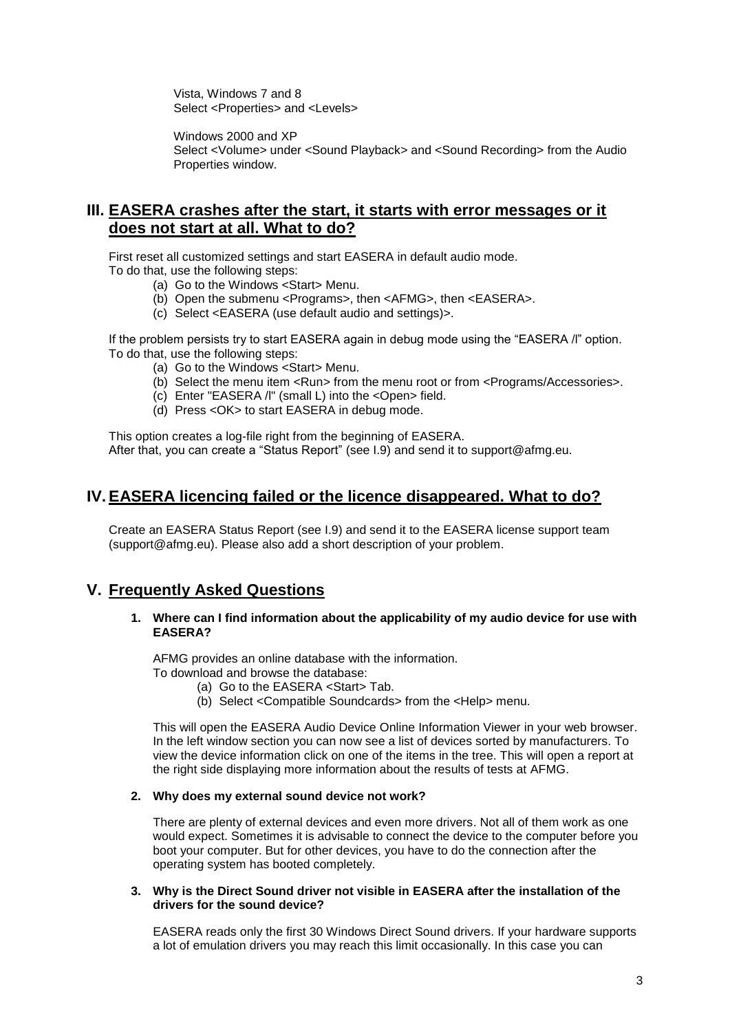Vista, Windows 7 and 8 Select <Properties> and <Levels>

Windows 2000 and XP Select <Volume> under <Sound Playback> and <Sound Recording> from the Audio Properties window.

# <span id="page-2-0"></span>**III. EASERA crashes after the start, it starts with error messages or it does not start at all. What to do?**

First reset all customized settings and start EASERA in default audio mode. To do that, use the following steps:

- (a) Go to the Windows <Start> Menu.
- (b) Open the submenu <Programs>, then <AFMG>, then <EASERA>.
- (c) Select <EASERA (use default audio and settings)>.

If the problem persists try to start EASERA again in debug mode using the "EASERA /l" option. To do that, use the following steps:

- (a) Go to the Windows <Start> Menu.
- (b) Select the menu item <Run> from the menu root or from <Programs/Accessories>.
- (c) Enter "EASERA /l" (small L) into the <Open> field.
- (d) Press <OK> to start EASERA in debug mode.

This option creates a log-file right from the beginning of EASERA. After that, you can create a "Status Report" (see [I.9\)](#page-1-1) and send it to support@afmg.eu.

# <span id="page-2-1"></span>**IV.EASERA licencing failed or the licence disappeared. What to do?**

Create an EASERA Status Report (see [I.9\)](#page-1-1) and send it to the EASERA license support team (support@afmg.eu). Please also add a short description of your problem.

# <span id="page-2-2"></span>**V. Frequently Asked Questions**

**1. Where can I find information about the applicability of my audio device for use with EASERA?**

AFMG provides an online database with the information. To download and browse the database:

- (a) Go to the EASERA <Start> Tab.
- (b) Select <Compatible Soundcards> from the <Help> menu.

This will open the EASERA Audio Device Online Information Viewer in your web browser. In the left window section you can now see a list of devices sorted by manufacturers. To view the device information click on one of the items in the tree. This will open a report at the right side displaying more information about the results of tests at AFMG.

#### **2. Why does my external sound device not work?**

There are plenty of external devices and even more drivers. Not all of them work as one would expect. Sometimes it is advisable to connect the device to the computer before you boot your computer. But for other devices, you have to do the connection after the operating system has booted completely.

#### **3. Why is the Direct Sound driver not visible in EASERA after the installation of the drivers for the sound device?**

EASERA reads only the first 30 Windows Direct Sound drivers. If your hardware supports a lot of emulation drivers you may reach this limit occasionally. In this case you can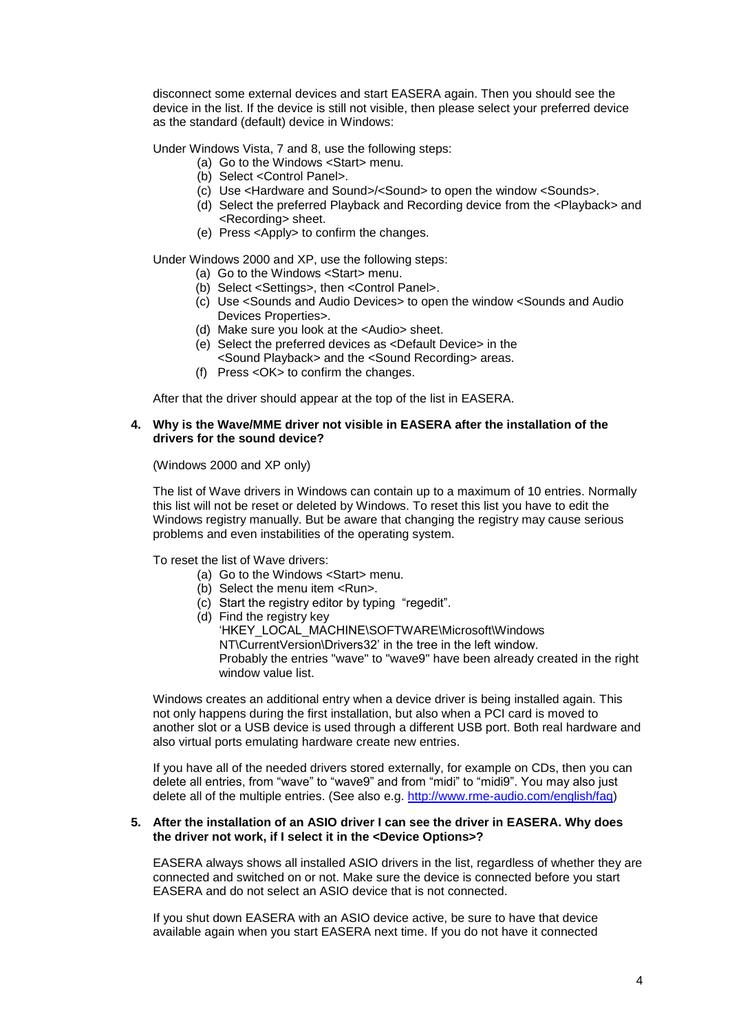disconnect some external devices and start EASERA again. Then you should see the device in the list. If the device is still not visible, then please select your preferred device as the standard (default) device in Windows:

Under Windows Vista, 7 and 8, use the following steps:

- (a) Go to the Windows <Start> menu.
	- (b) Select <Control Panel>.
	- (c) Use <Hardware and Sound>/<Sound> to open the window <Sounds>.
	- (d) Select the preferred Playback and Recording device from the <Playback> and <Recording> sheet.
	- (e) Press <Apply> to confirm the changes.

Under Windows 2000 and XP, use the following steps:

- (a) Go to the Windows <Start> menu.
- (b) Select <Settings>, then <Control Panel>.
- (c) Use <Sounds and Audio Devices> to open the window <Sounds and Audio Devices Properties>.
- (d) Make sure you look at the <Audio> sheet.
- (e) Select the preferred devices as <Default Device> in the <Sound Playback> and the <Sound Recording> areas.
- (f) Press <OK> to confirm the changes.

After that the driver should appear at the top of the list in EASERA.

#### **4. Why is the Wave/MME driver not visible in EASERA after the installation of the drivers for the sound device?**

(Windows 2000 and XP only)

The list of Wave drivers in Windows can contain up to a maximum of 10 entries. Normally this list will not be reset or deleted by Windows. To reset this list you have to edit the Windows registry manually. But be aware that changing the registry may cause serious problems and even instabilities of the operating system.

To reset the list of Wave drivers:

- (a) Go to the Windows <Start> menu.
- (b) Select the menu item <Run>.
- (c) Start the registry editor by typing "regedit".
- (d) Find the registry key 'HKEY\_LOCAL\_MACHINE\SOFTWARE\Microsoft\Windows NT\CurrentVersion\Drivers32' in the tree in the left window. Probably the entries "wave" to "wave9" have been already created in the right window value list.

Windows creates an additional entry when a device driver is being installed again. This not only happens during the first installation, but also when a PCI card is moved to another slot or a USB device is used through a different USB port. Both real hardware and also virtual ports emulating hardware create new entries.

If you have all of the needed drivers stored externally, for example on CDs, then you can delete all entries, from "wave" to "wave9" and from "midi" to "midi9". You may also just delete all of the multiple entries. (See also e.g. [http://www.rme-audio.com/english/faq\)](http://www.rme-audio.com/english/faq)

#### **5. After the installation of an ASIO driver I can see the driver in EASERA. Why does the driver not work, if I select it in the <Device Options>?**

EASERA always shows all installed ASIO drivers in the list, regardless of whether they are connected and switched on or not. Make sure the device is connected before you start EASERA and do not select an ASIO device that is not connected.

If you shut down EASERA with an ASIO device active, be sure to have that device available again when you start EASERA next time. If you do not have it connected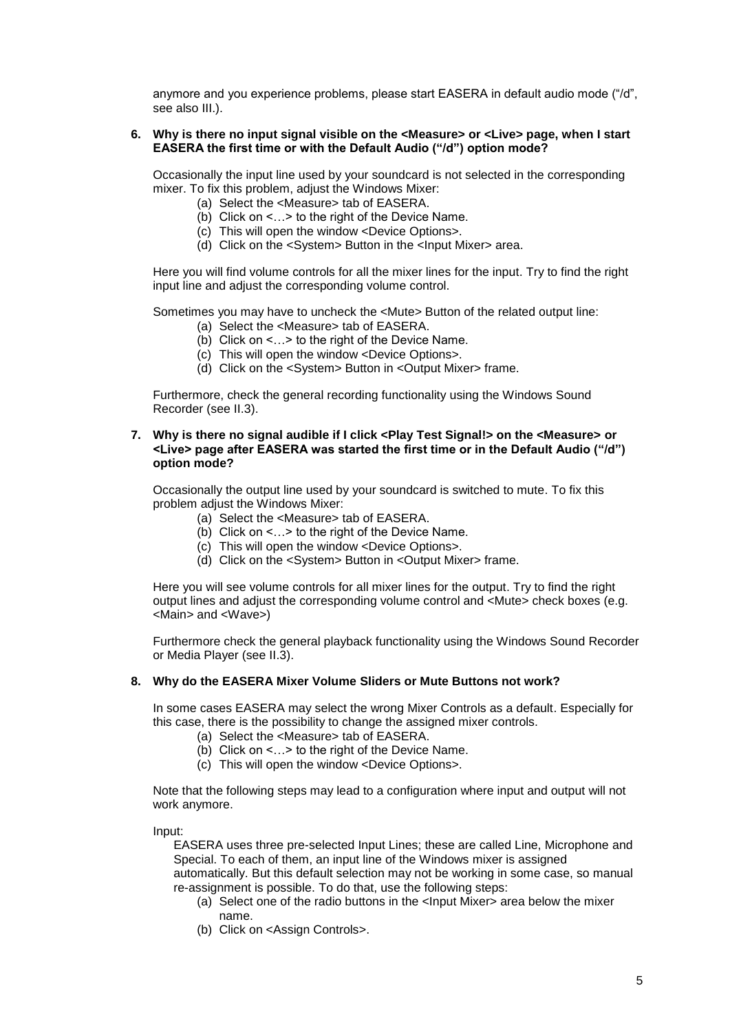anymore and you experience problems, please start EASERA in default audio mode ("/d", see also [III.](#page-2-0)).

#### **6. Why is there no input signal visible on the <Measure> or <Live> page, when I start EASERA the first time or with the Default Audio ("/d") option mode?**

Occasionally the input line used by your soundcard is not selected in the corresponding mixer. To fix this problem, adjust the Windows Mixer:

- (a) Select the <Measure> tab of EASERA.
- (b) Click on <…> to the right of the Device Name.
- (c) This will open the window <Device Options>.
- (d) Click on the <System> Button in the <Input Mixer> area.

Here you will find volume controls for all the mixer lines for the input. Try to find the right input line and adjust the corresponding volume control.

Sometimes you may have to uncheck the <Mute> Button of the related output line:

- (a) Select the <Measure> tab of EASERA.
- (b) Click on <…> to the right of the Device Name.
- (c) This will open the window <Device Options>.
- (d) Click on the <System> Button in <Output Mixer> frame.

Furthermore, check the general recording functionality using the Windows Sound Recorder (see [II.3\)](#page-1-2).

#### **7. Why is there no signal audible if I click <Play Test Signal!> on the <Measure> or <Live> page after EASERA was started the first time or in the Default Audio ("/d") option mode?**

Occasionally the output line used by your soundcard is switched to mute. To fix this problem adjust the Windows Mixer:

- (a) Select the <Measure> tab of EASERA.
- (b) Click on <…> to the right of the Device Name.
- (c) This will open the window <Device Options>.
- (d) Click on the <System> Button in <Output Mixer> frame.

Here you will see volume controls for all mixer lines for the output. Try to find the right output lines and adjust the corresponding volume control and <Mute> check boxes (e.g. <Main> and <Wave>)

Furthermore check the general playback functionality using the Windows Sound Recorder or Media Player (see [II.3\)](#page-1-2).

#### **8. Why do the EASERA Mixer Volume Sliders or Mute Buttons not work?**

In some cases EASERA may select the wrong Mixer Controls as a default. Especially for this case, there is the possibility to change the assigned mixer controls.

- (a) Select the <Measure> tab of EASERA.
- (b) Click on  $\leq$   $\ldots$  to the right of the Device Name.
- (c) This will open the window <Device Options>.

Note that the following steps may lead to a configuration where input and output will not work anymore.

Input:

EASERA uses three pre-selected Input Lines; these are called Line, Microphone and Special. To each of them, an input line of the Windows mixer is assigned

automatically. But this default selection may not be working in some case, so manual re-assignment is possible. To do that, use the following steps:

- (a) Select one of the radio buttons in the <Input Mixer> area below the mixer name.
- (b) Click on <Assign Controls>.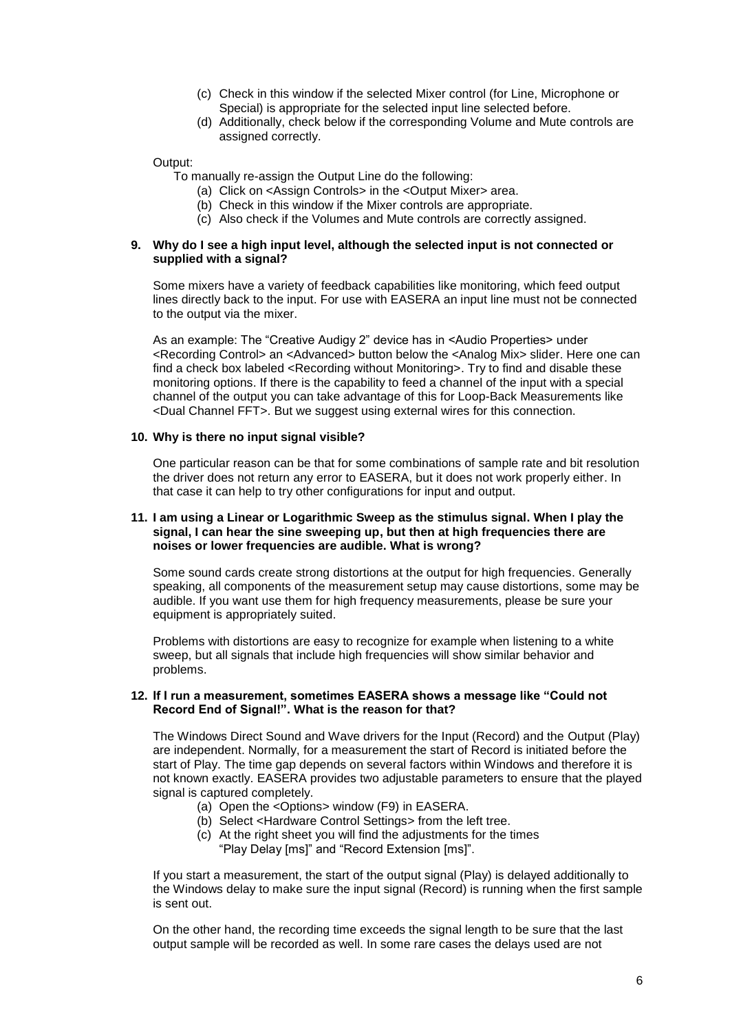- (c) Check in this window if the selected Mixer control (for Line, Microphone or Special) is appropriate for the selected input line selected before.
- (d) Additionally, check below if the corresponding Volume and Mute controls are assigned correctly.

Output:

To manually re-assign the Output Line do the following:

- (a) Click on <Assign Controls> in the <Output Mixer> area.
- (b) Check in this window if the Mixer controls are appropriate.
- (c) Also check if the Volumes and Mute controls are correctly assigned.

#### **9. Why do I see a high input level, although the selected input is not connected or supplied with a signal?**

Some mixers have a variety of feedback capabilities like monitoring, which feed output lines directly back to the input. For use with EASERA an input line must not be connected to the output via the mixer.

As an example: The "Creative Audigy 2" device has in <Audio Properties> under <Recording Control> an <Advanced> button below the <Analog Mix> slider. Here one can find a check box labeled <Recording without Monitoring>. Try to find and disable these monitoring options. If there is the capability to feed a channel of the input with a special channel of the output you can take advantage of this for Loop-Back Measurements like <Dual Channel FFT>. But we suggest using external wires for this connection.

#### **10. Why is there no input signal visible?**

One particular reason can be that for some combinations of sample rate and bit resolution the driver does not return any error to EASERA, but it does not work properly either. In that case it can help to try other configurations for input and output.

#### **11. I am using a Linear or Logarithmic Sweep as the stimulus signal. When I play the signal, I can hear the sine sweeping up, but then at high frequencies there are noises or lower frequencies are audible. What is wrong?**

Some sound cards create strong distortions at the output for high frequencies. Generally speaking, all components of the measurement setup may cause distortions, some may be audible. If you want use them for high frequency measurements, please be sure your equipment is appropriately suited.

Problems with distortions are easy to recognize for example when listening to a white sweep, but all signals that include high frequencies will show similar behavior and problems.

#### **12. If I run a measurement, sometimes EASERA shows a message like "Could not Record End of Signal!". What is the reason for that?**

The Windows Direct Sound and Wave drivers for the Input (Record) and the Output (Play) are independent. Normally, for a measurement the start of Record is initiated before the start of Play. The time gap depends on several factors within Windows and therefore it is not known exactly. EASERA provides two adjustable parameters to ensure that the played signal is captured completely.

- (a) Open the <Options> window (F9) in EASERA.
- (b) Select <Hardware Control Settings> from the left tree.
- (c) At the right sheet you will find the adjustments for the times "Play Delay [ms]" and "Record Extension [ms]".

If you start a measurement, the start of the output signal (Play) is delayed additionally to the Windows delay to make sure the input signal (Record) is running when the first sample is sent out.

On the other hand, the recording time exceeds the signal length to be sure that the last output sample will be recorded as well. In some rare cases the delays used are not